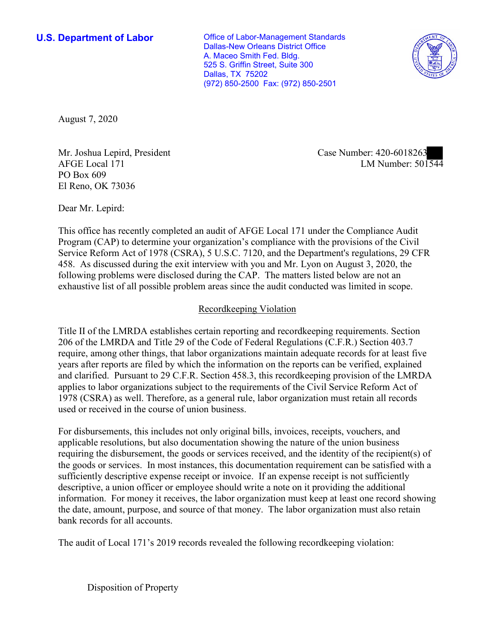**U.S. Department of Labor Conservative Conservative Conservative Conservative Conservative Conservative Conservative Conservative Conservative Conservative Conservative Conservative Conservative Conservative Conservative** Dallas-New Orleans District Office A. Maceo Smith Fed. Bldg. 525 S. Griffin Street, Suite 300 Dallas, TX 75202 (972) 850-2500 Fax: (972) 850-2501



August 7, 2020

Mr. Joshua Lepird, President Case Number: 420-6018263 PO Box 609 El Reno, OK 73036

NIT. JOSHUA LEPITA, PTESIAENT<br>AFGE Local 171 LM Number: 501544

Dear Mr. Lepird:

 This office has recently completed an audit of AFGE Local 171 under the Compliance Audit Program (CAP) to determine your organization's compliance with the provisions of the Civil Service Reform Act of 1978 (CSRA), 5 U.S.C. 7120, and the Department's regulations, 29 CFR 458. As discussed during the exit interview with you and Mr. Lyon on August 3, 2020, the following problems were disclosed during the CAP. The matters listed below are not an exhaustive list of all possible problem areas since the audit conducted was limited in scope.

## Recordkeeping Violation

 and clarified. Pursuant to 29 C.F.R. Section 458.3, this recordkeeping provision of the LMRDA Title II of the LMRDA establishes certain reporting and recordkeeping requirements. Section 206 of the LMRDA and Title 29 of the Code of Federal Regulations (C.F.R.) Section 403.7 require, among other things, that labor organizations maintain adequate records for at least five years after reports are filed by which the information on the reports can be verified, explained applies to labor organizations subject to the requirements of the Civil Service Reform Act of 1978 (CSRA) as well. Therefore, as a general rule, labor organization must retain all records used or received in the course of union business.

For disbursements, this includes not only original bills, invoices, receipts, vouchers, and applicable resolutions, but also documentation showing the nature of the union business requiring the disbursement, the goods or services received, and the identity of the recipient(s) of the goods or services. In most instances, this documentation requirement can be satisfied with a sufficiently descriptive expense receipt or invoice. If an expense receipt is not sufficiently descriptive, a union officer or employee should write a note on it providing the additional information. For money it receives, the labor organization must keep at least one record showing the date, amount, purpose, and source of that money. The labor organization must also retain bank records for all accounts.

The audit of Local 171's 2019 records revealed the following recordkeeping violation:

Disposition of Property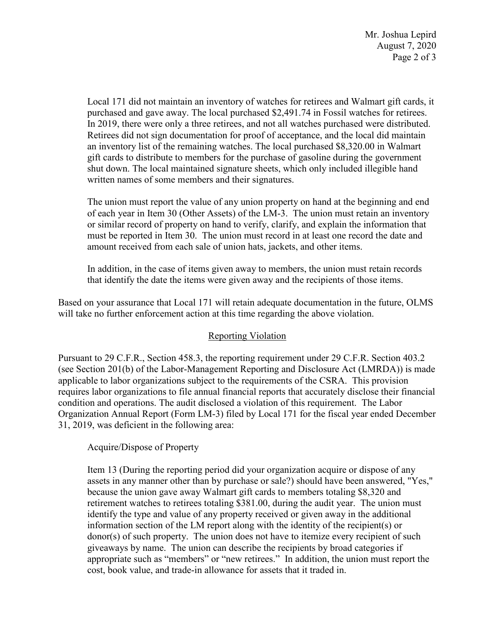Mr. Joshua Lepird August 7, 2020 Page 2 of 3

 gift cards to distribute to members for the purchase of gasoline during the government Local 171 did not maintain an inventory of watches for retirees and Walmart gift cards, it purchased and gave away. The local purchased \$[2,491.74](https://2,491.74) in Fossil watches for retirees. In 2019, there were only a three retirees, and not all watches purchased were distributed. Retirees did not sign documentation for proof of acceptance, and the local did maintain an inventory list of the remaining watches. The local purchased [\\$8,320.00](https://8,320.00) in Walmart shut down. The local maintained signature sheets, which only included illegible hand written names of some members and their signatures.

The union must report the value of any union property on hand at the beginning and end of each year in Item 30 (Other Assets) of the LM-3. The union must retain an inventory or similar record of property on hand to verify, clarify, and explain the information that must be reported in Item 30. The union must record in at least one record the date and amount received from each sale of union hats, jackets, and other items.

 that identify the date the items were given away and the recipients of those items. In addition, in the case of items given away to members, the union must retain records

Based on your assurance that Local 171 will retain adequate documentation in the future, OLMS will take no further enforcement action at this time regarding the above violation.

## Reporting Violation

 condition and operations. The audit disclosed a violation of this requirement. The Labor Pursuant to 29 C.F.R., Section 458.3, the reporting requirement under 29 C.F.R. Section 403.2 (see Section 201(b) of the Labor-Management Reporting and Disclosure Act (LMRDA)) is made applicable to labor organizations subject to the requirements of the CSRA. This provision requires labor organizations to file annual financial reports that accurately disclose their financial Organization Annual Report (Form LM-3) filed by Local 171 for the fiscal year ended December 31, 2019, was deficient in the following area:

Acquire/Dispose of Property

 retirement watches to retirees totaling \$381.00, during the audit year. The union must information section of the LM report along with the identity of the recipient(s) or giveaways by name. The union can describe the recipients by broad categories if appropriate such as "members" or "new retirees." In addition, the union must report the Item 13 (During the reporting period did your organization acquire or dispose of any assets in any manner other than by purchase or sale?) should have been answered, "Yes," because the union gave away Walmart gift cards to members totaling \$8,320 and identify the type and value of any property received or given away in the additional donor(s) of such property. The union does not have to itemize every recipient of such cost, book value, and trade-in allowance for assets that it traded in.